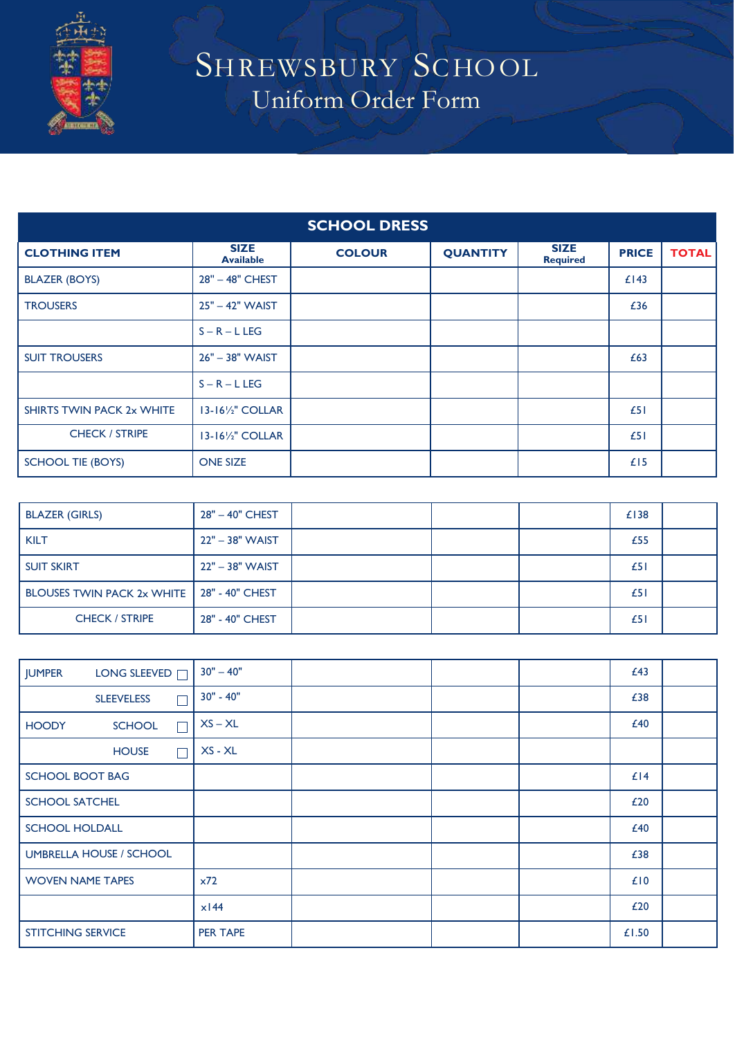

## SHREWSBURY SCHOOL Uniform Order Form

| <b>SCHOOL DRESS</b>       |                                 |               |                 |                                |              |              |
|---------------------------|---------------------------------|---------------|-----------------|--------------------------------|--------------|--------------|
| <b>CLOTHING ITEM</b>      | <b>SIZE</b><br><b>Available</b> | <b>COLOUR</b> | <b>QUANTITY</b> | <b>SIZE</b><br><b>Required</b> | <b>PRICE</b> | <b>TOTAL</b> |
| <b>BLAZER (BOYS)</b>      | 28" - 48" CHEST                 |               |                 |                                | £143         |              |
| <b>TROUSERS</b>           | $25" - 42"$ WAIST               |               |                 |                                | £36          |              |
|                           | $S - R - L$ LEG                 |               |                 |                                |              |              |
| <b>SUIT TROUSERS</b>      | 26" - 38" WAIST                 |               |                 |                                | £63          |              |
|                           | $S - R - L$ LEG                 |               |                 |                                |              |              |
| SHIRTS TWIN PACK 2x WHITE | $13-16\frac{1}{2}$ COLLAR       |               |                 |                                | £51          |              |
| <b>CHECK / STRIPE</b>     | 13-161/2" COLLAR                |               |                 |                                | £51          |              |
| <b>SCHOOL TIE (BOYS)</b>  | <b>ONE SIZE</b>                 |               |                 |                                | £15          |              |

| <b>BLAZER (GIRLS)</b>                        | 28" - 40" CHEST |  | £138 |  |
|----------------------------------------------|-----------------|--|------|--|
| <b>KILT</b>                                  | 22" - 38" WAIST |  | £55  |  |
| <b>SUIT SKIRT</b>                            | 22" - 38" WAIST |  | £51  |  |
| BLOUSES TWIN PACK 2x WHITE   28" - 40" CHEST |                 |  | £51  |  |
| <b>CHECK / STRIPE</b>                        | 28" - 40" CHEST |  | £51  |  |

| LONG SLEEVED <sub>I</sub><br><b>JUMPER</b> | $30" - 40"$        |  | £43   |  |
|--------------------------------------------|--------------------|--|-------|--|
| <b>SLEEVELESS</b><br>г                     | 30" - 40"          |  | £38   |  |
| <b>HOODY</b><br><b>SCHOOL</b><br>Г         | $XS - XL$          |  | £40   |  |
| <b>HOUSE</b><br>Г                          | $XS - XL$          |  |       |  |
| <b>SCHOOL BOOT BAG</b>                     |                    |  | £14   |  |
| <b>SCHOOL SATCHEL</b>                      |                    |  | £20   |  |
| <b>SCHOOL HOLDALL</b>                      |                    |  | £40   |  |
| <b>UMBRELLA HOUSE / SCHOOL</b>             |                    |  | £38   |  |
| <b>WOVEN NAME TAPES</b>                    | x72                |  | £10   |  |
|                                            | $x$ <sub>144</sub> |  | £20   |  |
| <b>STITCHING SERVICE</b>                   | <b>PER TAPE</b>    |  | £1.50 |  |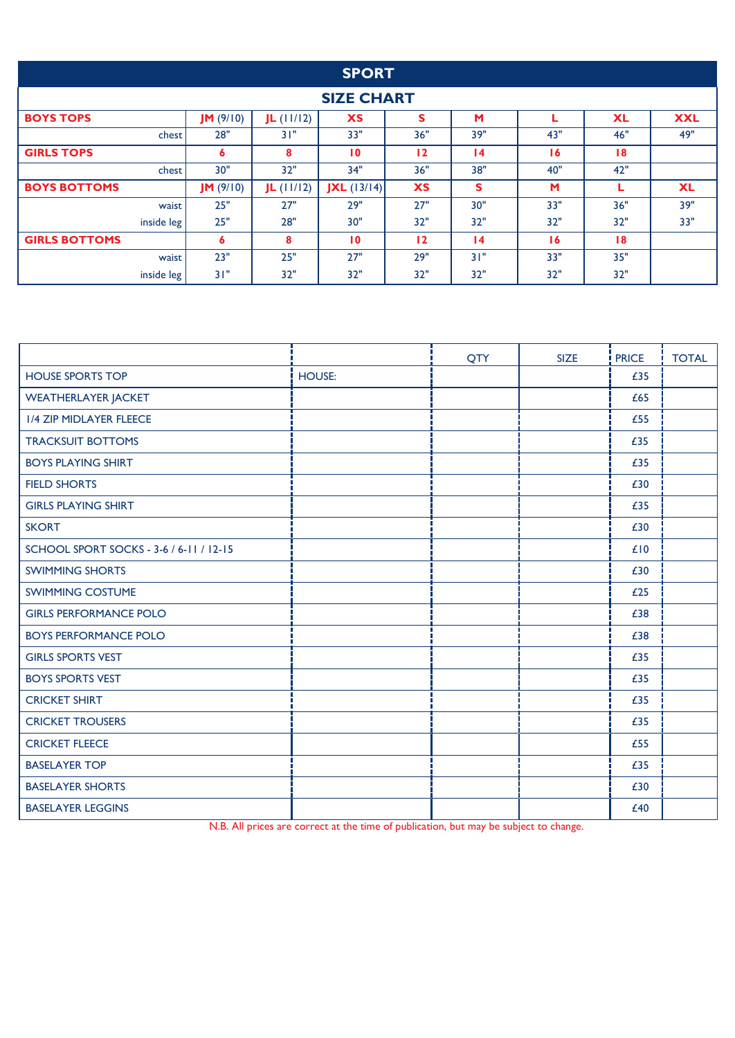|                      |          |              | <b>SPORT</b>  |           |                 |     |           |            |
|----------------------|----------|--------------|---------------|-----------|-----------------|-----|-----------|------------|
| <b>SIZE CHART</b>    |          |              |               |           |                 |     |           |            |
| <b>BOYS TOPS</b>     | JM(9/10) | $JL$ (11/12) | <b>XS</b>     | S         | M               |     | <b>XL</b> | <b>XXL</b> |
| chest                | 28"      | 31"          | 33"           | 36"       | 39"             | 43" | 46"       | 49"        |
| <b>GIRLS TOPS</b>    | 6        | 8            | 10            | 12        | $\overline{14}$ | 16  | 18        |            |
| chest                | 30"      | 32"          | 34"           | 36"       | 38"             | 40" | 42"       |            |
| <b>BOYS BOTTOMS</b>  | JM(9/10) | $JL$ (11/12) | $JXL$ (13/14) | <b>XS</b> | s               | M   | L         | <b>XL</b>  |
| waist                | 25"      | 27"          | 29"           | 27"       | 30"             | 33" | 36"       | 39"        |
| inside leg           | 25"      | 28"          | 30"           | 32"       | 32"             | 32" | 32"       | 33"        |
| <b>GIRLS BOTTOMS</b> | 6        | 8            | 10            | 12        | $\overline{14}$ | 16  | 18        |            |
| waist                | 23"      | 25"          | 27"           | 29"       | 31"             | 33" | 35"       |            |
| inside leg           | 31"      | 32"          | 32"           | 32"       | 32"             | 32" | 32"       |            |

|                                         |               | QTY | <b>SIZE</b> | <b>PRICE</b> | <b>TOTAL</b> |
|-----------------------------------------|---------------|-----|-------------|--------------|--------------|
| <b>HOUSE SPORTS TOP</b>                 | <b>HOUSE:</b> |     |             | £35          |              |
| <b>WEATHERLAYER JACKET</b>              |               |     |             | £65          |              |
| <b>1/4 ZIP MIDLAYER FLEECE</b>          |               |     |             | £55          |              |
| <b>TRACKSUIT BOTTOMS</b>                |               |     |             | £35          |              |
| <b>BOYS PLAYING SHIRT</b>               |               |     |             | £35          |              |
| <b>FIELD SHORTS</b>                     |               |     |             | £30          |              |
| <b>GIRLS PLAYING SHIRT</b>              |               |     |             | £35          |              |
| <b>SKORT</b>                            |               |     |             | £30          |              |
| SCHOOL SPORT SOCKS - 3-6 / 6-11 / 12-15 |               |     |             | £10          |              |
| <b>SWIMMING SHORTS</b>                  |               |     |             | £30          |              |
| <b>SWIMMING COSTUME</b>                 |               |     |             | £25          |              |
| <b>GIRLS PERFORMANCE POLO</b>           |               |     |             | £38          |              |
| <b>BOYS PERFORMANCE POLO</b>            |               |     |             | £38          |              |
| <b>GIRLS SPORTS VEST</b>                |               |     |             | £35          |              |
| <b>BOYS SPORTS VEST</b>                 |               |     |             | £35          |              |
| <b>CRICKET SHIRT</b>                    |               |     |             | £35          |              |
| <b>CRICKET TROUSERS</b>                 |               |     |             | £35          |              |
| <b>CRICKET FLEECE</b>                   |               |     |             | £55          |              |
| <b>BASELAYER TOP</b>                    |               |     |             | £35          |              |
| <b>BASELAYER SHORTS</b>                 |               |     |             | £30          |              |
| <b>BASELAYER LEGGINS</b>                |               |     |             | £40          |              |

N.B. All prices are correct at the time of publication, but may be subject to change.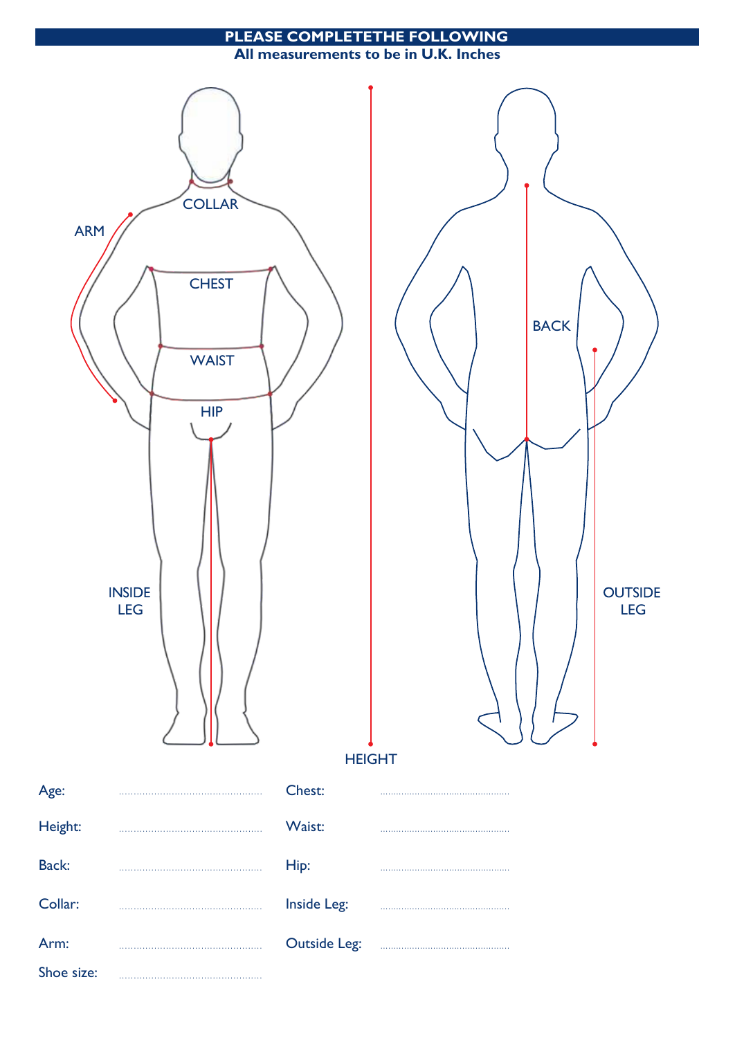## **COMPLETETHE FOLLOWING PLEASE**

All measurements to be in U.K. Inches